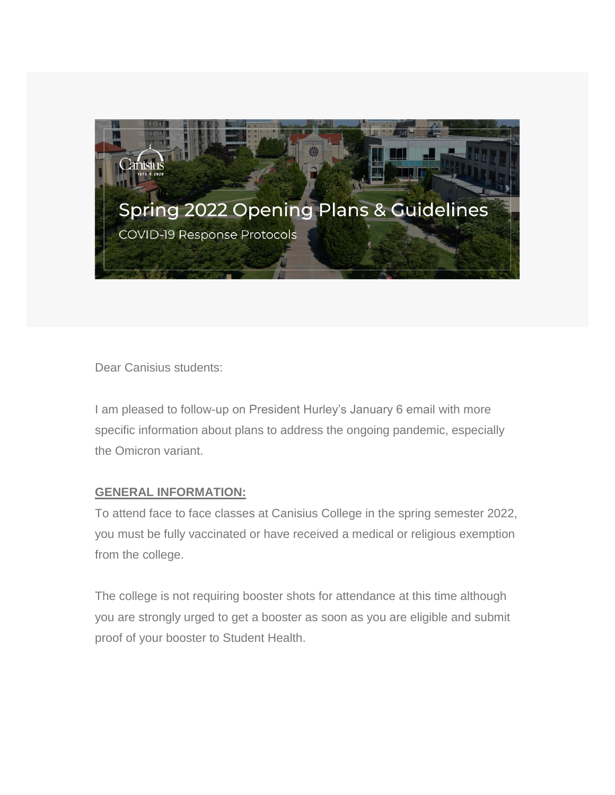

Dear Canisius students:

I am pleased to follow-up on President Hurley's January 6 email with more specific information about plans to address the ongoing pandemic, especially the Omicron variant.

# **GENERAL INFORMATION:**

To attend face to face classes at Canisius College in the spring semester 2022, you must be fully vaccinated or have received a medical or religious exemption from the college.

The college is not requiring booster shots for attendance at this time although you are strongly urged to get a booster as soon as you are eligible and submit proof of your booster to Student Health.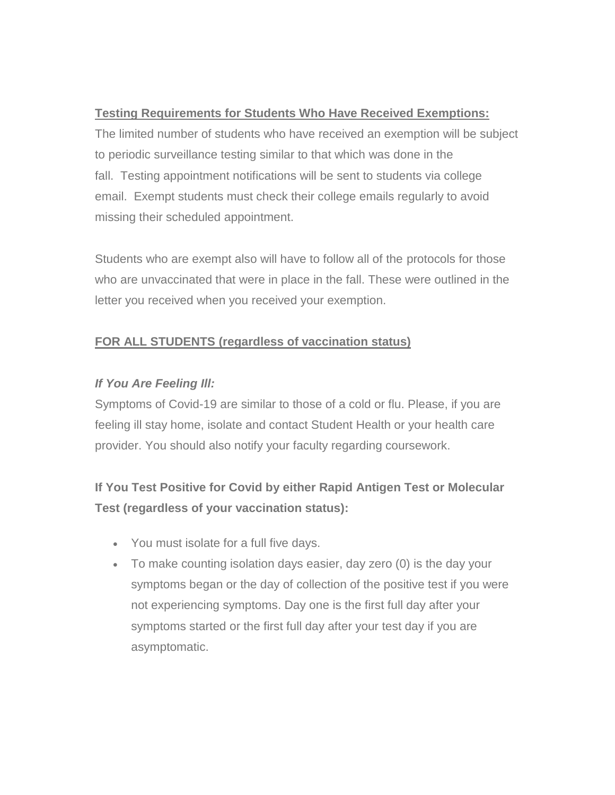# **Testing Requirements for Students Who Have Received Exemptions:**

The limited number of students who have received an exemption will be subject to periodic surveillance testing similar to that which was done in the fall. Testing appointment notifications will be sent to students via college email. Exempt students must check their college emails regularly to avoid missing their scheduled appointment.

Students who are exempt also will have to follow all of the protocols for those who are unvaccinated that were in place in the fall. These were outlined in the letter you received when you received your exemption.

# **FOR ALL STUDENTS (regardless of vaccination status)**

# *If You Are Feeling Ill:*

Symptoms of Covid-19 are similar to those of a cold or flu. Please, if you are feeling ill stay home, isolate and contact Student Health or your health care provider. You should also notify your faculty regarding coursework.

# **If You Test Positive for Covid by either Rapid Antigen Test or Molecular Test (regardless of your vaccination status):**

- You must isolate for a full five days.
- To make counting isolation days easier, day zero (0) is the day your symptoms began or the day of collection of the positive test if you were not experiencing symptoms. Day one is the first full day after your symptoms started or the first full day after your test day if you are asymptomatic.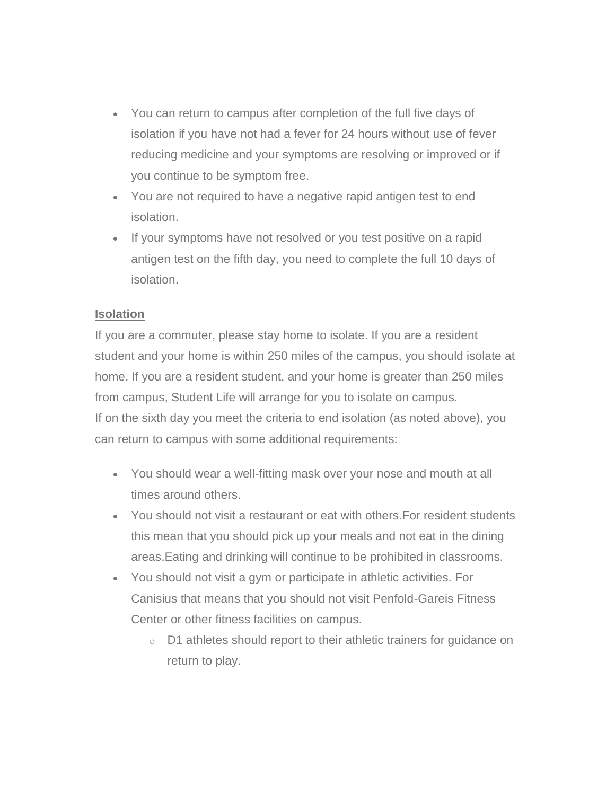- You can return to campus after completion of the full five days of isolation if you have not had a fever for 24 hours without use of fever reducing medicine and your symptoms are resolving or improved or if you continue to be symptom free.
- You are not required to have a negative rapid antigen test to end isolation.
- If your symptoms have not resolved or you test positive on a rapid antigen test on the fifth day, you need to complete the full 10 days of isolation.

#### **Isolation**

If you are a commuter, please stay home to isolate. If you are a resident student and your home is within 250 miles of the campus, you should isolate at home. If you are a resident student, and your home is greater than 250 miles from campus, Student Life will arrange for you to isolate on campus. If on the sixth day you meet the criteria to end isolation (as noted above), you can return to campus with some additional requirements:

- You should wear a well-fitting mask over your nose and mouth at all times around others.
- You should not visit a restaurant or eat with others.For resident students this mean that you should pick up your meals and not eat in the dining areas.Eating and drinking will continue to be prohibited in classrooms.
- You should not visit a gym or participate in athletic activities. For Canisius that means that you should not visit Penfold-Gareis Fitness Center or other fitness facilities on campus.
	- o D1 athletes should report to their athletic trainers for guidance on return to play.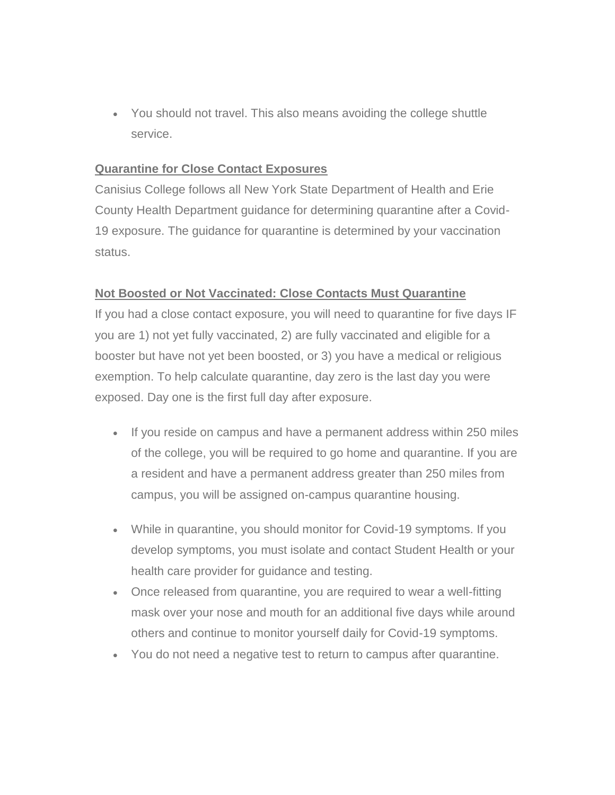You should not travel. This also means avoiding the college shuttle service.

#### **Quarantine for Close Contact Exposures**

Canisius College follows all New York State Department of Health and Erie County Health Department guidance for determining quarantine after a Covid-19 exposure. The guidance for quarantine is determined by your vaccination status.

# **Not Boosted or Not Vaccinated: Close Contacts Must Quarantine**

If you had a close contact exposure, you will need to quarantine for five days IF you are 1) not yet fully vaccinated, 2) are fully vaccinated and eligible for a booster but have not yet been boosted, or 3) you have a medical or religious exemption. To help calculate quarantine, day zero is the last day you were exposed. Day one is the first full day after exposure.

- If you reside on campus and have a permanent address within 250 miles of the college, you will be required to go home and quarantine. If you are a resident and have a permanent address greater than 250 miles from campus, you will be assigned on-campus quarantine housing.
- While in quarantine, you should monitor for Covid-19 symptoms. If you develop symptoms, you must isolate and contact Student Health or your health care provider for guidance and testing.
- Once released from quarantine, you are required to wear a well-fitting mask over your nose and mouth for an additional five days while around others and continue to monitor yourself daily for Covid-19 symptoms.
- You do not need a negative test to return to campus after quarantine.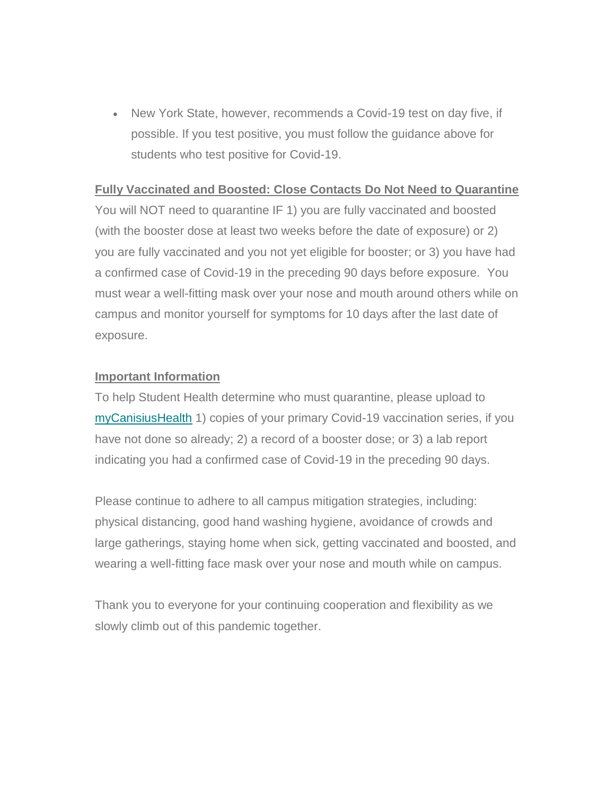• New York State, however, recommends a Covid-19 test on day five, if possible. If you test positive, you must follow the guidance above for students who test positive for Covid-19.

#### **Fully Vaccinated and Boosted: Close Contacts Do Not Need to Quarantine**

You will NOT need to quarantine IF 1) you are fully vaccinated and boosted (with the booster dose at least two weeks before the date of exposure) or 2) you are fully vaccinated and you not yet eligible for booster; or 3) you have had a confirmed case of Covid-19 in the preceding 90 days before exposure. You must wear a well-fitting mask over your nose and mouth around others while on campus and monitor yourself for symptoms for 10 days after the last date of exposure.

#### **Important Information**

To help Student Health determine who must quarantine, please upload to [myCanisiusHealth](https://my.canisius.edu/web/mycampus/home) 1) copies of your primary Covid-19 vaccination series, if you have not done so already; 2) a record of a booster dose; or 3) a lab report indicating you had a confirmed case of Covid-19 in the preceding 90 days.

Please continue to adhere to all campus mitigation strategies, including: physical distancing, good hand washing hygiene, avoidance of crowds and large gatherings, staying home when sick, getting vaccinated and boosted, and wearing a well-fitting face mask over your nose and mouth while on campus.

Thank you to everyone for your continuing cooperation and flexibility as we slowly climb out of this pandemic together.